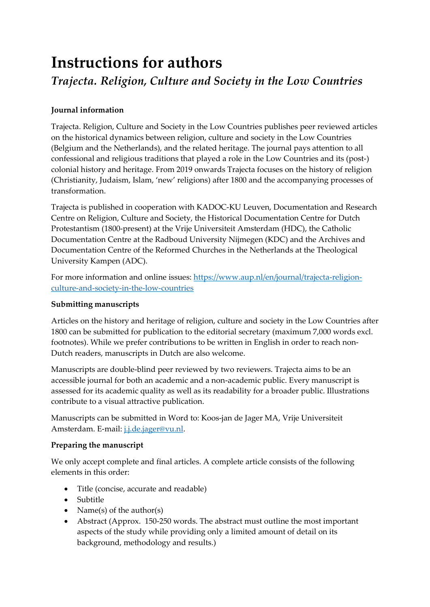# **Instructions for authors** *Trajecta. Religion, Culture and Society in the Low Countries*

## **Journal information**

Trajecta. Religion, Culture and Society in the Low Countries publishes peer reviewed articles on the historical dynamics between religion, culture and society in the Low Countries (Belgium and the Netherlands), and the related heritage. The journal pays attention to all confessional and religious traditions that played a role in the Low Countries and its (post-) colonial history and heritage. From 2019 onwards Trajecta focuses on the history of religion (Christianity, Judaism, Islam, 'new' religions) after 1800 and the accompanying processes of transformation.

Trajecta is published in cooperation with KADOC-KU Leuven, Documentation and Research Centre on Religion, Culture and Society, the Historical Documentation Centre for Dutch Protestantism (1800-present) at the Vrije Universiteit Amsterdam (HDC), the Catholic Documentation Centre at the Radboud University Nijmegen (KDC) and the Archives and Documentation Centre of the Reformed Churches in the Netherlands at the Theological University Kampen (ADC).

For more information and online issues: [https://www.aup.nl/en/journal/trajecta-religion](https://www.aup.nl/en/journal/trajecta-religion-culture-and-society-in-the-low-countries)[culture-and-society-in-the-low-countries](https://www.aup.nl/en/journal/trajecta-religion-culture-and-society-in-the-low-countries)

#### **Submitting manuscripts**

Articles on the history and heritage of religion, culture and society in the Low Countries after 1800 can be submitted for publication to the editorial secretary (maximum 7,000 words excl. footnotes). While we prefer contributions to be written in English in order to reach non-Dutch readers, manuscripts in Dutch are also welcome.

Manuscripts are double-blind peer reviewed by two reviewers. Trajecta aims to be an accessible journal for both an academic and a non-academic public. Every manuscript is assessed for its academic quality as well as its readability for a broader public. Illustrations contribute to a visual attractive publication.

Manuscripts can be submitted in Word to: Koos-jan de Jager MA, Vrije Universiteit Amsterdam. E-mail: *j.j.de.jager@vu.nl.* 

## **Preparing the manuscript**

We only accept complete and final articles. A complete article consists of the following elements in this order:

- Title (concise, accurate and readable)
- Subtitle
- Name(s) of the author(s)
- Abstract (Approx. 150-250 words. The abstract must outline the most important aspects of the study while providing only a limited amount of detail on its background, methodology and results.)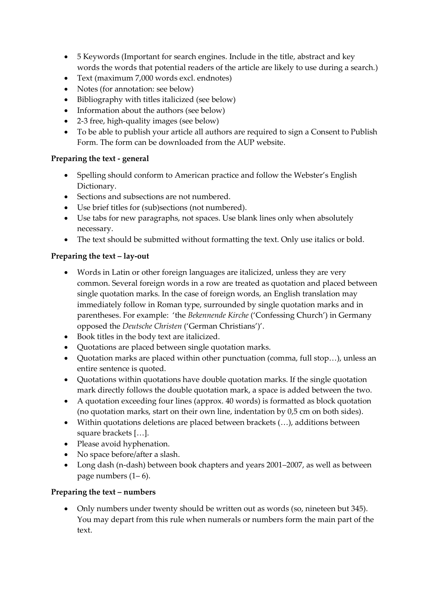- 5 Keywords (Important for search engines. Include in the title, abstract and key words the words that potential readers of the article are likely to use during a search.)
- Text (maximum 7,000 words excl. endnotes)
- Notes (for annotation: see below)
- Bibliography with titles italicized (see below)
- Information about the authors (see below)
- 2-3 free, high-quality images (see below)
- To be able to publish your article all authors are required to sign a Consent to Publish Form. The form can be downloaded from the AUP website.

# **Preparing the text - general**

- Spelling should conform to American practice and follow the Webster's English Dictionary.
- Sections and subsections are not numbered.
- Use brief titles for (sub)sections (not numbered).
- Use tabs for new paragraphs, not spaces. Use blank lines only when absolutely necessary.
- The text should be submitted without formatting the text. Only use italics or bold.

# **Preparing the text – lay-out**

- Words in Latin or other foreign languages are italicized, unless they are very common. Several foreign words in a row are treated as quotation and placed between single quotation marks. In the case of foreign words, an English translation may immediately follow in Roman type, surrounded by single quotation marks and in parentheses. For example: 'the *Bekennende Kirche* ('Confessing Church') in Germany opposed the *Deutsche Christen* ('German Christians')'.
- Book titles in the body text are italicized.
- Quotations are placed between single quotation marks.
- Quotation marks are placed within other punctuation (comma, full stop…), unless an entire sentence is quoted.
- Quotations within quotations have double quotation marks. If the single quotation mark directly follows the double quotation mark, a space is added between the two.
- A quotation exceeding four lines (approx. 40 words) is formatted as block quotation (no quotation marks, start on their own line, indentation by 0,5 cm on both sides).
- Within quotations deletions are placed between brackets (…), additions between square brackets […].
- Please avoid hyphenation.
- No space before/after a slash.
- Long dash (n-dash) between book chapters and years 2001–2007, as well as between page numbers  $(1-6)$ .

# **Preparing the text – numbers**

• Only numbers under twenty should be written out as words (so, nineteen but 345). You may depart from this rule when numerals or numbers form the main part of the text.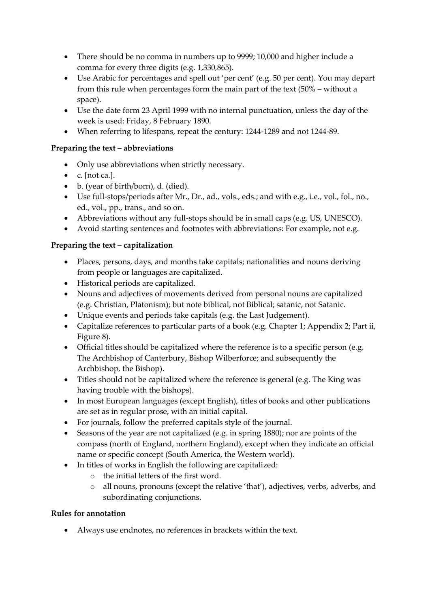- There should be no comma in numbers up to 9999; 10,000 and higher include a comma for every three digits (e.g. 1,330,865).
- Use Arabic for percentages and spell out 'per cent' (e.g. 50 per cent). You may depart from this rule when percentages form the main part of the text (50% – without a space).
- Use the date form 23 April 1999 with no internal punctuation, unless the day of the week is used: Friday, 8 February 1890.
- When referring to lifespans, repeat the century: 1244-1289 and not 1244-89.

## **Preparing the text – abbreviations**

- Only use abbreviations when strictly necessary.
- $\bullet$  c. [not ca.].
- b. (year of birth/born), d. (died).
- Use full-stops/periods after Mr., Dr., ad., vols., eds.; and with e.g., i.e., vol., fol., no., ed., vol., pp., trans., and so on.
- Abbreviations without any full-stops should be in small caps (e.g. US, UNESCO).
- Avoid starting sentences and footnotes with abbreviations: For example, not e.g.

## **Preparing the text – capitalization**

- Places, persons, days, and months take capitals; nationalities and nouns deriving from people or languages are capitalized.
- Historical periods are capitalized.
- Nouns and adjectives of movements derived from personal nouns are capitalized (e.g. Christian, Platonism); but note biblical, not Biblical; satanic, not Satanic.
- Unique events and periods take capitals (e.g. the Last Judgement).
- Capitalize references to particular parts of a book (e.g. Chapter 1; Appendix 2; Part ii, Figure 8).
- Official titles should be capitalized where the reference is to a specific person (e.g. The Archbishop of Canterbury, Bishop Wilberforce; and subsequently the Archbishop, the Bishop).
- Titles should not be capitalized where the reference is general (e.g. The King was having trouble with the bishops).
- In most European languages (except English), titles of books and other publications are set as in regular prose, with an initial capital.
- For journals, follow the preferred capitals style of the journal.
- Seasons of the year are not capitalized (e.g. in spring 1880); nor are points of the compass (north of England, northern England), except when they indicate an official name or specific concept (South America, the Western world).
- In titles of works in English the following are capitalized:
	- o the initial letters of the first word.
	- o all nouns, pronouns (except the relative 'that'), adjectives, verbs, adverbs, and subordinating conjunctions.

## **Rules for annotation**

• Always use endnotes, no references in brackets within the text.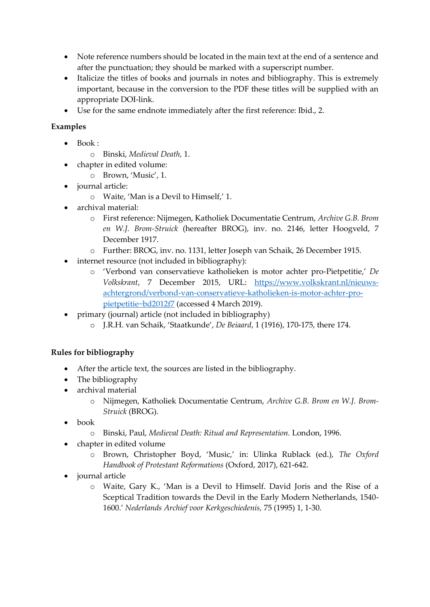- Note reference numbers should be located in the main text at the end of a sentence and after the punctuation; they should be marked with a superscript number.
- Italicize the titles of books and journals in notes and bibliography. This is extremely important, because in the conversion to the PDF these titles will be supplied with an appropriate DOI-link.
- Use for the same endnote immediately after the first reference: Ibid., 2.

## **Examples**

- Book :
	- o Binski, *Medieval Death,* 1.
- chapter in edited volume:
	- o Brown, 'Music', 1.
- journal article:
	- o Waite, 'Man is a Devil to Himself,' 1.
- archival material:
	- o First reference: Nijmegen, Katholiek Documentatie Centrum, *Archive G.B. Brom en W.J. Brom-Struick* (hereafter BROG), inv. no. 2146, letter Hoogveld, 7 December 1917.
	- o Further: BROG, inv. no. 1131, letter Joseph van Schaik, 26 December 1915.
- internet resource (not included in bibliography):
	- o 'Verbond van conservatieve katholieken is motor achter pro-Pietpetitie,' *De Volkskrant*, 7 December 2015, URL: [https://www.volkskrant.nl/nieuws](https://www.volkskrant.nl/nieuws-achtergrond/verbond-van-conservatieve-katholieken-is-motor-achter-pro-pietpetitie~bd2012f7)[achtergrond/verbond-van-conservatieve-katholieken-is-motor-achter-pro](https://www.volkskrant.nl/nieuws-achtergrond/verbond-van-conservatieve-katholieken-is-motor-achter-pro-pietpetitie~bd2012f7)[pietpetitie~bd2012f7](https://www.volkskrant.nl/nieuws-achtergrond/verbond-van-conservatieve-katholieken-is-motor-achter-pro-pietpetitie~bd2012f7) (accessed 4 March 2019).
- primary (journal) article (not included in bibliography)
	- o J.R.H. van Schaik, 'Staatkunde', *De Beiaard*, 1 (1916), 170-175, there 174.

## **Rules for bibliography**

- After the article text, the sources are listed in the bibliography.
- The bibliography
- archival material
	- o Nijmegen, Katholiek Documentatie Centrum, *Archive G.B. Brom en W.J. Brom-Struick* (BROG).
- book
	- o Binski, Paul, *Medieval Death: Ritual and Representation.* London, 1996.
- chapter in edited volume
	- o Brown, Christopher Boyd, 'Music,' in: Ulinka Rublack (ed.), *The Oxford Handbook of Protestant Reformations* (Oxford, 2017), 621-642.
- journal article
	- o Waite, Gary K., 'Man is a Devil to Himself. David Joris and the Rise of a Sceptical Tradition towards the Devil in the Early Modern Netherlands, 1540- 1600.' *Nederlands Archief voor Kerkgeschiedenis,* 75 (1995) 1, 1-30.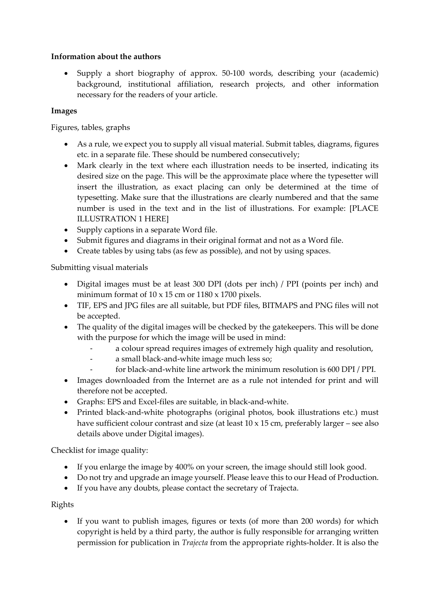#### **Information about the authors**

• Supply a short biography of approx. 50-100 words, describing your (academic) background, institutional affiliation, research projects, and other information necessary for the readers of your article.

#### **Images**

Figures, tables, graphs

- As a rule, we expect you to supply all visual material. Submit tables, diagrams, figures etc. in a separate file. These should be numbered consecutively;
- Mark clearly in the text where each illustration needs to be inserted, indicating its desired size on the page. This will be the approximate place where the typesetter will insert the illustration, as exact placing can only be determined at the time of typesetting. Make sure that the illustrations are clearly numbered and that the same number is used in the text and in the list of illustrations. For example: [PLACE ILLUSTRATION 1 HERE]
- Supply captions in a separate Word file.
- Submit figures and diagrams in their original format and not as a Word file.
- Create tables by using tabs (as few as possible), and not by using spaces.

Submitting visual materials

- Digital images must be at least 300 DPI (dots per inch) / PPI (points per inch) and minimum format of 10 x 15 cm or 1180 x 1700 pixels.
- TIF, EPS and JPG files are all suitable, but PDF files, BITMAPS and PNG files will not be accepted.
- The quality of the digital images will be checked by the gatekeepers. This will be done with the purpose for which the image will be used in mind:
	- a colour spread requires images of extremely high quality and resolution,
	- a small black-and-white image much less so;
	- for black-and-white line artwork the minimum resolution is 600 DPI / PPI.
- Images downloaded from the Internet are as a rule not intended for print and will therefore not be accepted.
- Graphs: EPS and Excel-files are suitable, in black-and-white.
- Printed black-and-white photographs (original photos, book illustrations etc.) must have sufficient colour contrast and size (at least 10 x 15 cm, preferably larger – see also details above under Digital images).

Checklist for image quality:

- If you enlarge the image by 400% on your screen, the image should still look good.
- Do not try and upgrade an image yourself. Please leave this to our Head of Production.
- If you have any doubts, please contact the secretary of Trajecta.

Rights

• If you want to publish images, figures or texts (of more than 200 words) for which copyright is held by a third party, the author is fully responsible for arranging written permission for publication in *Trajecta* from the appropriate rights-holder. It is also the